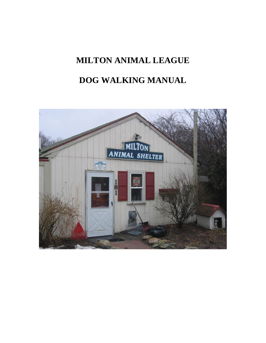# **MILTON ANIMAL LEAGUE**

## **DOG WALKING MANUAL**

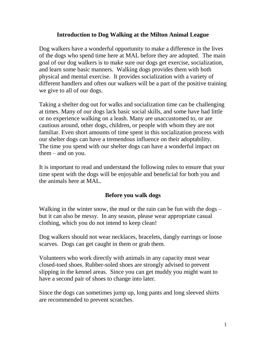#### **Introduction to Dog Walking at the Milton Animal League**

Dog walkers have a wonderful opportunity to make a difference in the lives of the dogs who spend time here at MAL before they are adopted. The main goal of our dog walkers is to make sure our dogs get exercise, socialization, and learn some basic manners. Walking dogs provides them with both physical and mental exercise. It provides socialization with a variety of different handlers and often our walkers will be a part of the positive training we give to all of our dogs.

Taking a shelter dog out for walks and socialization time can be challenging at times. Many of our dogs lack basic social skills, and some have had little or no experience walking on a leash. Many are unaccustomed to, or are cautious around, other dogs, children, or people with whom they are not familiar. Even short amounts of time spent in this socialization process with our shelter dogs can have a tremendous influence on their adoptability. The time you spend with our shelter dogs can have a wonderful impact on them – and on you.

It is important to read and understand the following rules to ensure that your time spent with the dogs will be enjoyable and beneficial for both you and the animals here at MAL.

#### **Before you walk dogs**

Walking in the winter snow, the mud or the rain can be fun with the dogs – but it can also be messy. In any season, please wear appropriate casual clothing, which you do not intend to keep clean!

Dog walkers should not wear necklaces, bracelets, dangly earrings or loose scarves. Dogs can get caught in them or grab them.

Volunteers who work directly with animals in any capacity must wear closed-toed shoes. Rubber-soled shoes are strongly advised to prevent slipping in the kennel areas. Since you can get muddy you might want to have a second pair of shoes to change into later.

Since the dogs can sometimes jump up, long pants and long sleeved shirts are recommended to prevent scratches.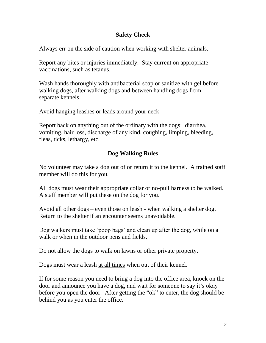## **Safety Check**

Always err on the side of caution when working with shelter animals.

Report any bites or injuries immediately. Stay current on appropriate vaccinations, such as tetanus.

Wash hands thoroughly with antibacterial soap or sanitize with gel before walking dogs, after walking dogs and between handling dogs from separate kennels.

Avoid hanging leashes or leads around your neck

Report back on anything out of the ordinary with the dogs: diarrhea, vomiting, hair loss, discharge of any kind, coughing, limping, bleeding, fleas, ticks, lethargy, etc.

## **Dog Walking Rules**

No volunteer may take a dog out of or return it to the kennel. A trained staff member will do this for you.

All dogs must wear their appropriate collar or no-pull harness to be walked. A staff member will put these on the dog for you.

Avoid all other dogs – even those on leash - when walking a shelter dog. Return to the shelter if an encounter seems unavoidable.

Dog walkers must take 'poop bags' and clean up after the dog, while on a walk or when in the outdoor pens and fields.

Do not allow the dogs to walk on lawns or other private property.

Dogs must wear a leash at all times when out of their kennel.

If for some reason you need to bring a dog into the office area, knock on the door and announce you have a dog, and wait for someone to say it's okay before you open the door. After getting the "ok" to enter, the dog should be behind you as you enter the office.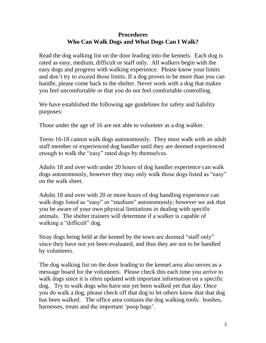## **Procedures Who Can Walk Dogs and What Dogs Can I Walk?**

Read the dog walking list on the door leading into the kennels. Each dog is rated as easy, medium, difficult or staff only. All walkers begin with the easy dogs and progress with walking experience. Please know your limits and don't try to exceed those limits. If a dog proves to be more than you can handle, please come back to the shelter. Never work with a dog that makes you feel uncomfortable or that you do not feel comfortable controlling.

We have established the following age guidelines for safety and liability purposes:

Those under the age of 16 are not able to volunteer as a dog walker.

Teens 16-18 cannot walk dogs autonomously. They must walk with an adult staff member or experienced dog handler until they are deemed experienced enough to walk the "easy" rated dogs by themselves.

Adults 18 and over with under 20 hours of dog handler experience can walk dogs autonomously, however they may only walk those dogs listed as "easy" on the walk sheet.

Adults 18 and over with 20 or more hours of dog handling experience can walk dogs listed as "easy" or "medium" autonomously; however we ask that you be aware of your own physical limitations in dealing with specific animals. The shelter trainers will determine if a walker is capable of walking a "difficult" dog.

Stray dogs being held at the kennel by the town are deemed "staff only" since they have not yet been evaluated, and thus they are not to be handled by volunteers.

The dog walking list on the door leading to the kennel area also serves as a message board for the volunteers. Please check this each time you arrive to walk dogs since it is often updated with important information on a specific dog. Try to walk dogs who have not yet been walked yet that day. Once you do walk a dog, please check off that dog to let others know that that dog has been walked. The office area contains the dog walking tools: leashes, harnesses, treats and the important 'poop bags'.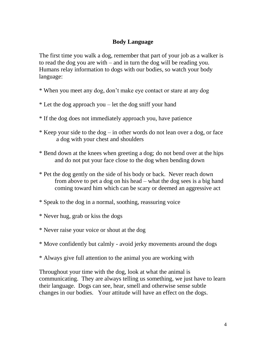#### **Body Language**

The first time you walk a dog, remember that part of your job as a walker is to read the dog you are with – and in turn the dog will be reading you. Humans relay information to dogs with our bodies, so watch your body language:

- \* When you meet any dog, don't make eye contact or stare at any dog
- \* Let the dog approach you let the dog sniff your hand
- \* If the dog does not immediately approach you, have patience
- \* Keep your side to the dog in other words do not lean over a dog, or face a dog with your chest and shoulders
- \* Bend down at the knees when greeting a dog; do not bend over at the hips and do not put your face close to the dog when bending down
- \* Pet the dog gently on the side of his body or back. Never reach down from above to pet a dog on his head – what the dog sees is a big hand coming toward him which can be scary or deemed an aggressive act
- \* Speak to the dog in a normal, soothing, reassuring voice
- \* Never hug, grab or kiss the dogs
- \* Never raise your voice or shout at the dog
- \* Move confidently but calmly avoid jerky movements around the dogs
- \* Always give full attention to the animal you are working with

Throughout your time with the dog, look at what the animal is communicating. They are always telling us something, we just have to learn their language. Dogs can see, hear, smell and otherwise sense subtle changes in our bodies. Your attitude will have an effect on the dogs.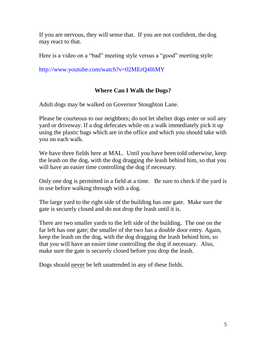If you are nervous, they will sense that. If you are not confident, the dog may react to that.

Here is a video on a "bad" meeting style versus a "good" meeting style:

<http://www.youtube.com/watch?v=02MErQ4I6MY>

## **Where Can I Walk the Dogs?**

Adult dogs may be walked on Governor Stoughton Lane.

Please be courteous to our neighbors; do not let shelter dogs enter or soil any yard or driveway. If a dog defecates while on a walk immediately pick it up using the plastic bags which are in the office and which you should take with you on each walk.

We have three fields here at MAL. Until you have been told otherwise, keep the leash on the dog, with the dog dragging the leash behind him, so that you will have an easier time controlling the dog if necessary.

Only one dog is permitted in a field at a time. Be sure to check if the yard is in use before walking through with a dog.

The large yard to the right side of the building has one gate. Make sure the gate is securely closed and do not drop the leash until it is.

There are two smaller yards to the left side of the building. The one on the far left has one gate; the smaller of the two has a double door entry. Again, keep the leash on the dog, with the dog dragging the leash behind him, so that you will have an easier time controlling the dog if necessary. Also, make sure the gate is securely closed before you drop the leash.

Dogs should never be left unattended in any of these fields.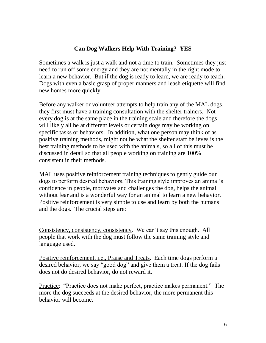## **Can Dog Walkers Help With Training? YES**

Sometimes a walk is just a walk and not a time to train. Sometimes they just need to run off some energy and they are not mentally in the right mode to learn a new behavior. But if the dog is ready to learn, we are ready to teach. Dogs with even a basic grasp of proper manners and leash etiquette will find new homes more quickly.

Before any walker or volunteer attempts to help train any of the MAL dogs, they first must have a training consultation with the shelter trainers. Not every dog is at the same place in the training scale and therefore the dogs will likely all be at different levels or certain dogs may be working on specific tasks or behaviors. In addition, what one person may think of as positive training methods, might not be what the shelter staff believes is the best training methods to be used with the animals, so all of this must be discussed in detail so that all people working on training are 100% consistent in their methods.

MAL uses positive reinforcement training techniques to gently guide our dogs to perform desired behaviors. This training style improves an animal's confidence in people, motivates and challenges the dog, helps the animal without fear and is a wonderful way for an animal to learn a new behavior. Positive reinforcement is very simple to use and learn by both the humans and the dogs. The crucial steps are:

Consistency, consistency, consistency. We can't say this enough. All people that work with the dog must follow the same training style and language used.

Positive reinforcement, i.e., Praise and Treats. Each time dogs perform a desired behavior, we say "good dog" and give them a treat. If the dog fails does not do desired behavior, do not reward it.

Practice: "Practice does not make perfect, practice makes permanent." The more the dog succeeds at the desired behavior, the more permanent this behavior will become.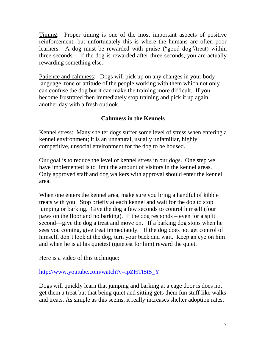Timing: Proper timing is one of the most important aspects of positive reinforcement, but unfortunately this is where the humans are often poor learners. A dog must be rewarded with praise ("good dog"/treat) within three seconds - if the dog is rewarded after three seconds, you are actually rewarding something else.

Patience and calmness: Dogs will pick up on any changes in your body language, tone or attitude of the people working with them which not only can confuse the dog but it can make the training more difficult. If you become frustrated then immediately stop training and pick it up again another day with a fresh outlook.

## **Calmness in the Kennels**

Kennel stress: Many shelter dogs suffer some level of stress when entering a kennel environment; it is an unnatural, usually unfamiliar, highly competitive, unsocial environment for the dog to be housed.

Our goal is to reduce the level of kennel stress in our dogs. One step we have implemented is to limit the amount of visitors in the kennel areas. Only approved staff and dog walkers with approval should enter the kennel area.

When one enters the kennel area, make sure you bring a handful of kibble treats with you. Stop briefly at each kennel and wait for the dog to stop jumping or barking. Give the dog a few seconds to control himself (four paws on the floor and no barking). If the dog responds – even for a split second—give the dog a treat and move on. If a barking dog stops when he sees you coming, give treat immediately. If the dog does not get control of himself, don't look at the dog, turn your back and wait. Keep an eye on him and when he is at his quietest (quietest for him) reward the quiet.

Here is a video of this technique:

## [http://www.youtube.com/watch?v=ipZHTtStS\\_Y](http://www.youtube.com/watch?v=ipZHTtStS_Y)

Dogs will quickly learn that jumping and barking at a cage door is does not get them a treat but that being quiet and sitting gets them fun stuff like walks and treats. As simple as this seems, it really increases shelter adoption rates.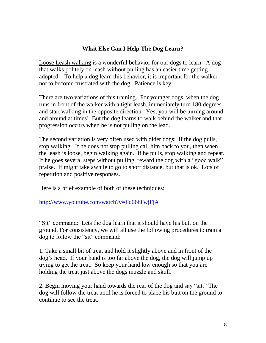## **What Else Can I Help The Dog Learn?**

Loose Leash walking is a wonderful behavior for our dogs to learn. A dog that walks politely on leash without pulling has an easier time getting adopted. To help a dog learn this behavior, it is important for the walker not to become frustrated with the dog. Patience is key.

There are two variations of this training. For younger dogs, when the dog runs in front of the walker with a tight leash, immediately turn 180 degrees and start walking in the opposite direction. Yes, you will be turning around and around at times! But the dog learns to walk behind the walker and that progression occurs when he is not pulling on the lead.

The second variation is very often used with older dogs: if the dog pulls, stop walking. If he does not stop pulling call him back to you, then when the leash is loose, begin walking again. If he pulls, stop walking and repeat. If he goes several steps without pulling, reward the dog with a "good walk" praise. If might take awhile to go to short distance, but that is ok. Lots of repetition and positive responses.

Here is a brief example of both of these techniques:

## <http://www.youtube.com/watch?v=Fu06fTwjFjA>

"Sit" command: Lets the dog learn that it should have his butt on the ground. For consistency, we will all use the following procedures to train a dog to follow the "sit" command:

1. Take a small bit of treat and hold it slightly above and in front of the dog's head. If your hand is too far above the dog, the dog will jump up trying to get the treat. So keep your hand low enough so that you are holding the treat just above the dogs muzzle and skull.

2. Begin moving your hand towards the rear of the dog and say "sit." The dog will follow the treat until he is forced to place his butt on the ground to continue to see the treat.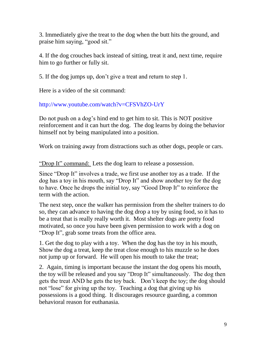3. Immediately give the treat to the dog when the butt hits the ground, and praise him saying, "good sit."

4. If the dog crouches back instead of sitting, treat it and, next time, require him to go further or fully sit.

5. If the dog jumps up, don't give a treat and return to step 1.

Here is a video of the sit command:

## <http://www.youtube.com/watch?v=CFSVhZO-UrY>

Do not push on a dog's hind end to get him to sit. This is NOT positive reinforcement and it can hurt the dog. The dog learns by doing the behavior himself not by being manipulated into a position.

Work on training away from distractions such as other dogs, people or cars.

"Drop It" command: Lets the dog learn to release a possession.

Since "Drop It" involves a trade, we first use another toy as a trade. If the dog has a toy in his mouth, say "Drop It" and show another toy for the dog to have. Once he drops the initial toy, say "Good Drop It" to reinforce the term with the action.

The next step, once the walker has permission from the shelter trainers to do so, they can advance to having the dog drop a toy by using food, so it has to be a treat that is really really worth it. Most shelter dogs are pretty food motivated, so once you have been given permission to work with a dog on "Drop It", grab some treats from the office area.

1. Get the dog to play with a toy. When the dog has the toy in his mouth, Show the dog a treat, keep the treat close enough to his muzzle so he does not jump up or forward. He will open his mouth to take the treat;

2. Again, timing is important because the instant the dog opens his mouth, the toy will be released and you say "Drop It" simultaneously. The dog then gets the treat AND he gets the toy back. Don't keep the toy; the dog should not "lose" for giving up the toy. Teaching a dog that giving up his possessions is a good thing. It discourages resource guarding, a common behavioral reason for euthanasia.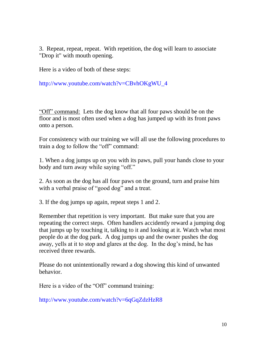3. Repeat, repeat, repeat. With repetition, the dog will learn to associate "Drop it" with mouth opening.

Here is a video of both of these steps:

[http://www.youtube.com/watch?v=CBvhOKgWU\\_4](http://www.youtube.com/watch?v=CBvhOKgWU_4)

"Off" command: Lets the dog know that all four paws should be on the floor and is most often used when a dog has jumped up with its front paws onto a person.

For consistency with our training we will all use the following procedures to train a dog to follow the "off" command:

1. When a dog jumps up on you with its paws, pull your hands close to your body and turn away while saying "off."

2. As soon as the dog has all four paws on the ground, turn and praise him with a verbal praise of "good dog" and a treat.

3. If the dog jumps up again, repeat steps 1 and 2.

Remember that repetition is very important. But make sure that you are repeating the correct steps. Often handlers accidently reward a jumping dog that jumps up by touching it, talking to it and looking at it. Watch what most people do at the dog park. A dog jumps up and the owner pushes the dog away, yells at it to stop and glares at the dog. In the dog's mind, he has received three rewards.

Please do not unintentionally reward a dog showing this kind of unwanted behavior.

Here is a video of the "Off" command training:

<http://www.youtube.com/watch?v=6qGqZdzHzR8>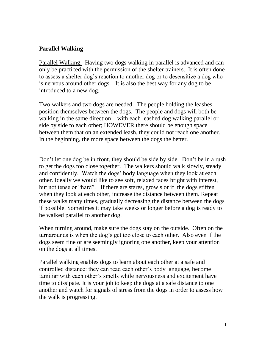#### **Parallel Walking**

Parallel Walking: Having two dogs walking in parallel is advanced and can only be practiced with the permission of the shelter trainers. It is often done to assess a shelter dog's reaction to another dog or to desensitize a dog who is nervous around other dogs. It is also the best way for any dog to be introduced to a new dog.

Two walkers and two dogs are needed. The people holding the leashes position themselves between the dogs. The people and dogs will both be walking in the same direction – with each leashed dog walking parallel or side by side to each other; HOWEVER there should be enough space between them that on an extended leash, they could not reach one another. In the beginning, the more space between the dogs the better.

Don't let one dog be in front, they should be side by side. Don't be in a rush to get the dogs too close together. The walkers should walk slowly, steady and confidently. Watch the dogs' body language when they look at each other. Ideally we would like to see soft, relaxed faces bright with interest, but not tense or "hard". If there are stares, growls or if the dogs stiffen when they look at each other, increase the distance between them. Repeat these walks many times, gradually decreasing the distance between the dogs if possible. Sometimes it may take weeks or longer before a dog is ready to be walked parallel to another dog.

When turning around, make sure the dogs stay on the outside. Often on the turnarounds is when the dog's get too close to each other. Also even if the dogs seem fine or are seemingly ignoring one another, keep your attention on the dogs at all times.

Parallel walking enables dogs to learn about each other at a safe and controlled distance: they can read each other's [body](http://dogtrainer.quickanddirtytips.com/dogs-facial-expressions.aspx) language, become familiar with each other's smells while nervousness and excitement have time to dissipate. It is your job to keep the dogs at a safe distance to one another and watch for signals of stress from the dogs in order to assess how the walk is progressing.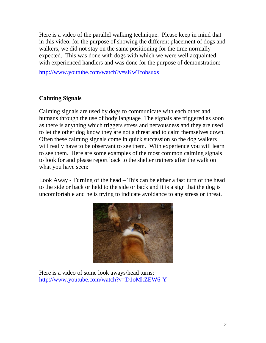Here is a video of the parallel walking technique. Please keep in mind that in this video, for the purpose of showing the different placement of dogs and walkers, we did not stay on the same positioning for the time normally expected. This was done with dogs with which we were well acquainted, with experienced handlers and was done for the purpose of demonstration:

<http://www.youtube.com/watch?v=sKwTfobsuxs>

## **Calming Signals**

Calming signals are used by dogs to communicate with each other and humans through the use of body language. The signals are triggered as soon as there is anything which triggers stress and nervousness and they are used to let the other dog know they are not a threat and to calm themselves down. Often these calming signals come in quick succession so the dog walkers will really have to be observant to see them. With experience you will learn to see them. Here are some examples of the most common calming signals to look for and please report back to the shelter trainers after the walk on what you have seen:

Look Away - Turning of the head – This can be either a fast turn of the head to the side or back or held to the side or back and it is a sign that the dog is uncomfortable and he is trying to indicate avoidance to any stress or threat.



Here is a video of some look aways/head turns: <http://www.youtube.com/watch?v=D1oMkZEW6-Y>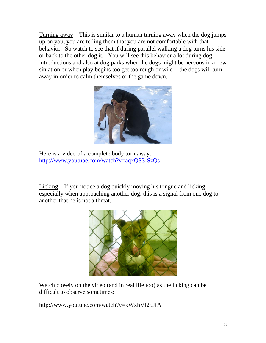Turning away – This is similar to a human turning away when the dog jumps up on you, you are telling them that you are not comfortable with that behavior. So watch to see that if during parallel walking a dog turns his side or back to the other dog it. You will see this behavior a lot during dog introductions and also at dog parks when the dogs might be nervous in a new situation or when play begins too get too rough or wild - the dogs will turn away in order to calm themselves or the game down.



Here is a video of a complete body turn away: <http://www.youtube.com/watch?v=aqxQS3-SzQs>

Licking – If you notice a dog quickly moving his tongue and licking, especially when approaching another dog, this is a signal from one dog to another that he is not a threat.



Watch closely on the video (and in real life too) as the licking can be difficult to observe sometimes:

<http://www.youtube.com/watch?v=kWxhVf25JfA>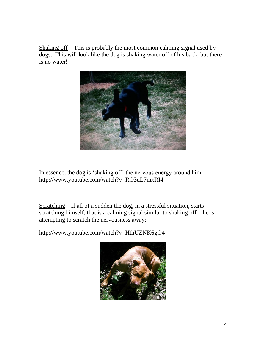Shaking off – This is probably the most common calming signal used by dogs. This will look like the dog is shaking water off of his back, but there is no water!



In essence, the dog is 'shaking off' the nervous energy around him: <http://www.youtube.com/watch?v=RO3uL7mxRI4>

Scratching – If all of a sudden the dog, in a stressful situation, starts scratching himself, that is a calming signal similar to shaking off  $-$  he is attempting to scratch the nervousness away:

<http://www.youtube.com/watch?v=HthUZNK6gO4>

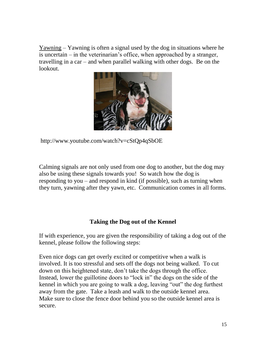Yawning – Yawning is often a signal used by the dog in situations where he is uncertain – in the veterinarian's office, when approached by a stranger, travelling in a car – and when parallel walking with other dogs. Be on the lookout.



<http://www.youtube.com/watch?v=cStQp4qSbOE>

Calming signals are not only used from one dog to another, but the dog may also be using these signals towards you! So watch how the dog is responding to you – and respond in kind (if possible), such as turning when they turn, yawning after they yawn, etc. Communication comes in all forms.

## **Taking the Dog out of the Kennel**

If with experience, you are given the responsibility of taking a dog out of the kennel, please follow the following steps:

Even nice dogs can get overly excited or competitive when a walk is involved. It is too stressful and sets off the dogs not being walked. To cut down on this heightened state, don't take the dogs through the office. Instead, lower the guillotine doors to "lock in" the dogs on the side of the kennel in which you are going to walk a dog, leaving "out" the dog furthest away from the gate. Take a leash and walk to the outside kennel area. Make sure to close the fence door behind you so the outside kennel area is secure.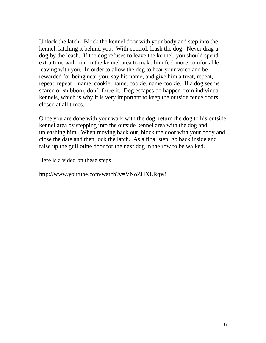Unlock the latch. Block the kennel door with your body and step into the kennel, latching it behind you. With control, leash the dog. Never drag a dog by the leash. If the dog refuses to leave the kennel, you should spend extra time with him in the kennel area to make him feel more comfortable leaving with you. In order to allow the dog to hear your voice and be rewarded for being near you, say his name, and give him a treat, repeat, repeat, repeat – name, cookie, name, cookie, name cookie. If a dog seems scared or stubborn, don't force it. Dog escapes do happen from individual kennels, which is why it is very important to keep the outside fence doors closed at all times.

Once you are done with your walk with the dog, return the dog to his outside kennel area by stepping into the outside kennel area with the dog and unleashing him. When moving back out, block the door with your body and close the date and then lock the latch. As a final step, go back inside and raise up the guillotine door for the next dog in the row to be walked.

Here is a video on these steps

<http://www.youtube.com/watch?v=VNoZHXLRqv8>